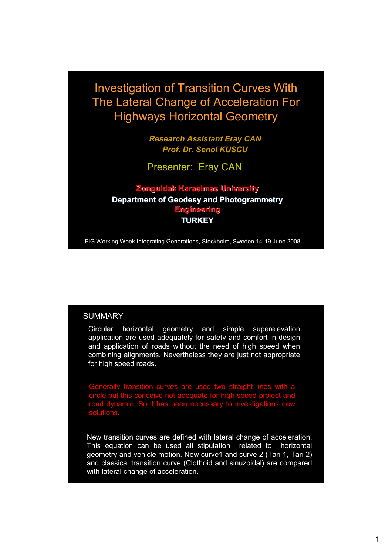Investigation of Transition Curves With The Lateral Change of Acceleration For Highways Horizontal Geometry

> *Research Assistant Eray CAN Prof. Dr. Senol KUSCU*

Presenter: Eray CAN

**Zonguldak Karaelmas University Department of Geodesy and Photogrammetry Engineering TURKEY** 

FIG Working Week Integrating Generations, Stockholm, Sweden 14-19 June 2008

#### **SUMMARY**

Circular horizontal geometry and simple superelevation application are used adequately for safety and comfort in design and application of roads without the need of high speed when combining alignments. Nevertheless they are just not appropriate for high speed roads.

transition curves are used two straight lines circle but this conceive not adequate for high speed project and road dynamic. So it has been necessary to investigations new solutions.

New transition curves are defined with lateral change of acceleration. This equation can be used all stipulation related to horizontal geometry and vehicle motion. New curve1 and curve 2 (Tari 1, Tari 2) and classical transition curve (Clothoid and sinuzoidal) are compared with lateral change of acceleration.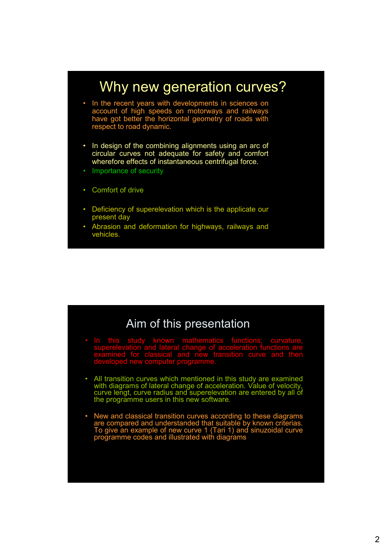

# Aim of this presentation

- In this study known mathematics functions; curvature, superelevation and lateral change of acceleration functions are examined for classical and new transition curve and then developed new computer programme.
- All transition curves which mentioned in this study are examined with diagrams of lateral change of acceleration. Value of velocity, curve lengt, curve radius and superelevation are entered by all of the programme users in this new software.
- New and classical transition curves according to these diagrams are compared and understanded that suitable by known criterias. To give an example of new curve 1 (Tari 1) and sinuzoidal curve programme codes and illustrated with diagrams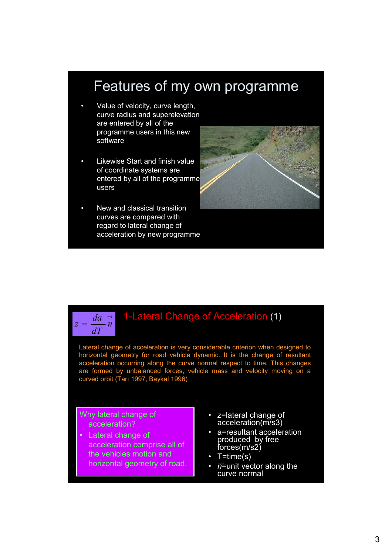## Features of my own programme

- Value of velocity, curve length, curve radius and superelevation are entered by all of the programme users in this new software
- Likewise Start and finish value of coordinate systems are entered by all of the programme users
- New and classical transition curves are compared with regard to lateral change of acceleration by new programme



### 1-Lateral Change of Acceleration (1)

Lateral change of acceleration is very considerable criterion when designed to horizontal geometry for road vehicle dynamic. It is the change of resultant acceleration occurring along the curve normal respect to time. This changes are formed by unbalanced forces, vehicle mass and velocity moving on a curved orbit (Tarı 1997, Baykal 1996)

#### Why lateral change of acceleration?

→ *da*  $=\frac{du}{dx}n$ *dT*

*z*

- Lateral change of acceleration comprise all of the vehicles motion and horizontal geometry of road.
- z=lateral change of acceleration(m/s3)
- a=resultant acceleration produced by free forces(m/s2)
- T=time(s)
- $\bar{n}$ =unit vector along the curve normal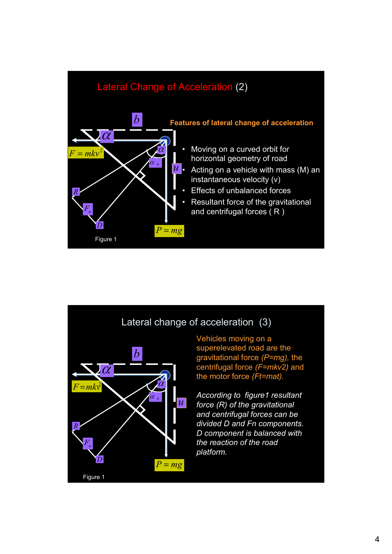



*platform.*

 $P = mg$ 

*D*

Figure 1

 $F_n$ 

*D component is balanced with the reaction of the road*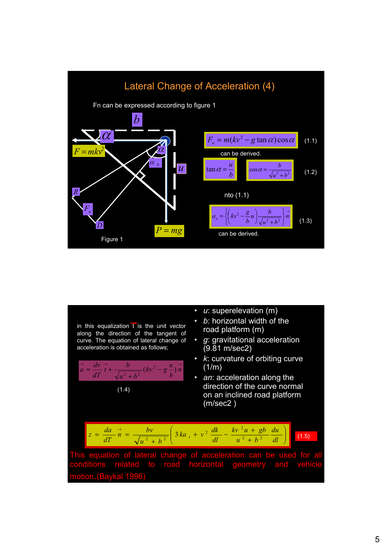

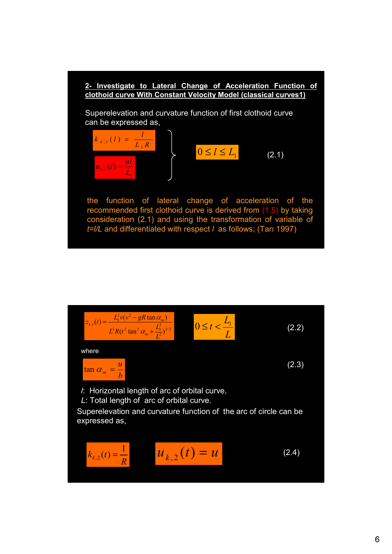

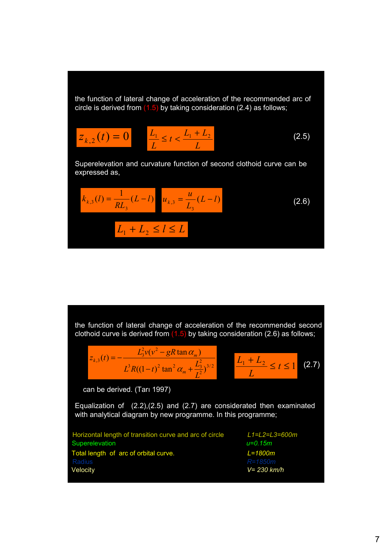the function of lateral change of acceleration of the recommended arc of circle is derived from  $(1.5)$  by taking consideration (2.4) as follows;

$$
Z_{k,2}(t) = 0 \qquad \frac{L_1}{L} \le t < \frac{L_1 + L_2}{L} \tag{2.5}
$$

Superelevation and curvature function of second clothoid curve can be expressed as,

$$
k_{k,3}(l) = \frac{1}{RL_3}(L-l) \quad u_{k,3} = \frac{u}{L_3}(L-l)
$$
\n
$$
L_1 + L_2 \le l \le L
$$
\n(2.6)

the function of lateral change of acceleration of the recommended second clothoid curve is derived from  $(1.5)$  by taking consideration (2.6) as follows;

$$
z_{k,3}(t) = -\frac{L_3^2 v (v^2 - gR \tan \alpha_m)}{L^3 R ((1-t)^2 \tan^2 \alpha_m + \frac{L_3^2}{L^2})^{3/2}} \qquad \frac{L_1 + L_2}{L} \le t \le 1
$$
 (2.7)

can be derived. (Tarı 1997)

Equalization of (2.2),(2.5) and (2.7) are considerated then examinated with analytical diagram by new programme. In this programme;

| Horizontal length of transition curve and arc of circle | L1=L2=L:     |
|---------------------------------------------------------|--------------|
| Superelevation                                          | u=0.15m      |
| Total length of arc of orbital curve.                   | $L = 1800m$  |
| Radius                                                  | $R = 1850m$  |
| Velocity                                                | $V = 230$ kr |

Horizontal length of transition curve and arc of circle *L1=L2=L3=600m* Velocity *V= 230 km/h*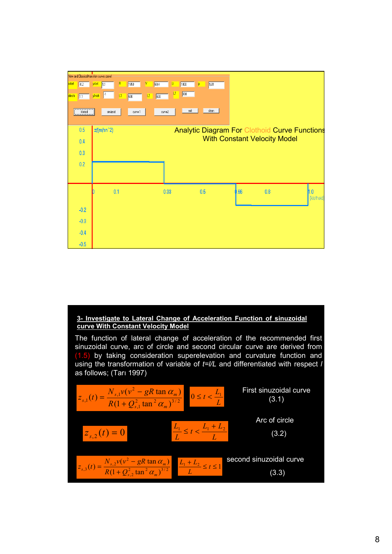

#### **3- Investigate to Lateral Change of Acceleration Function of sinuzoidal curve With Constant Velocity Model**

The function of lateral change of acceleration of the recommended first sinuzoidal curve, arc of circle and second circular curve are derived from (1.5) by taking consideration superelevation and curvature function and using the transformation of variable of *t=l/L* and differentiated with respect *l* as follows; (Tarı 1997)

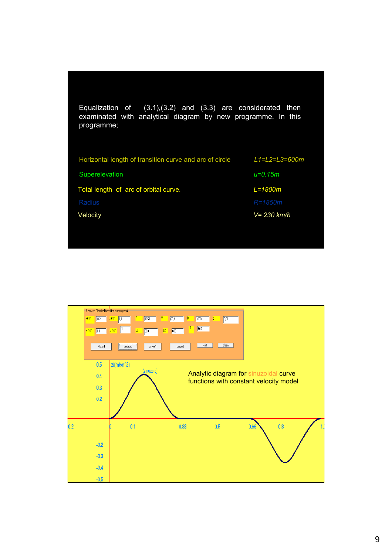| Equalization of $(3.1),(3.2)$ and $(3.3)$ are considerated then<br>examinated with analytical diagram by new programme. In this<br>programme; |                        |
|-----------------------------------------------------------------------------------------------------------------------------------------------|------------------------|
| Horizontal length of transition curve and arc of circle                                                                                       | $L1 = L2 = L3 = 600$ m |
| Superelevation                                                                                                                                | $u = 0.15m$            |
| Total length of arc of orbital curve.                                                                                                         | $L = 1800m$            |
| Radius                                                                                                                                        | $R = 1850m$            |
| Velocity                                                                                                                                      | V= 230 km/h            |
|                                                                                                                                               |                        |

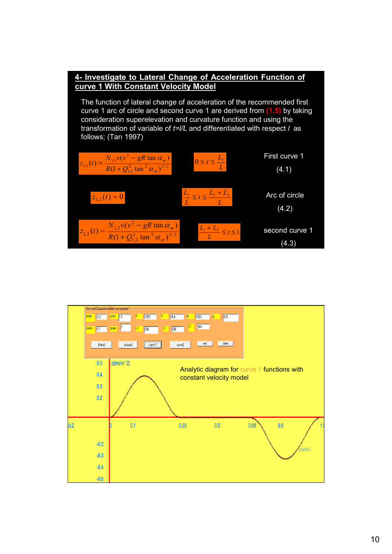

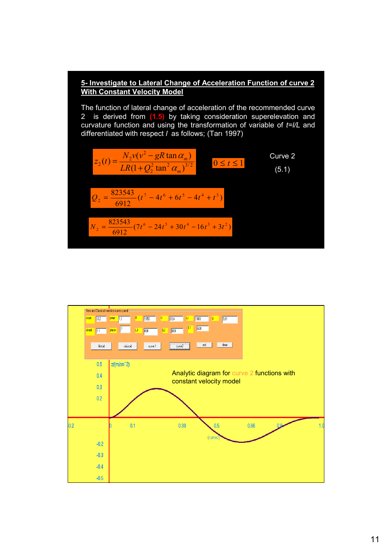#### **5- Investigate to Lateral Change of Acceleration Function of curve 2 With Constant Velocity Model**

The function of lateral change of acceleration of the recommended curve 2 is derived from **(1.5)** by taking consideration superelevation and curvature function and using the transformation of variable of *t=l/L* and differentiated with respect *l* as follows; (Tarı 1997)

$$
z_2(t) = \frac{N_2 v (v^2 - gR \tan \alpha_m)}{LR(1 + Q_2^2 \tan^2 \alpha_m)^{3/2}} \qquad 0 \le t \le 1
$$
  
Curve 2  

$$
Q_2 = \frac{823543}{6912} (t^7 - 4t^6 + 6t^5 - 4t^4 + t^3)
$$

$$
N_2 = \frac{823543}{6912} (7t^6 - 24t^5 + 30t^4 - 16t^3 + 3t^2)
$$
 (5.1)

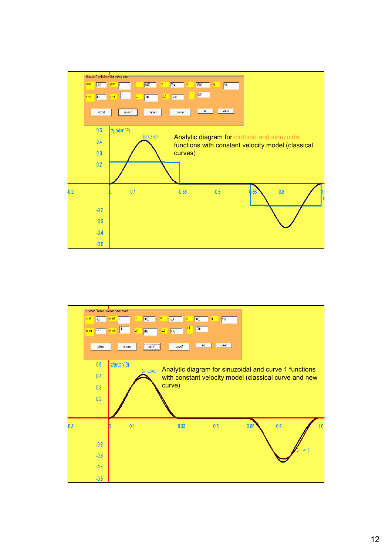

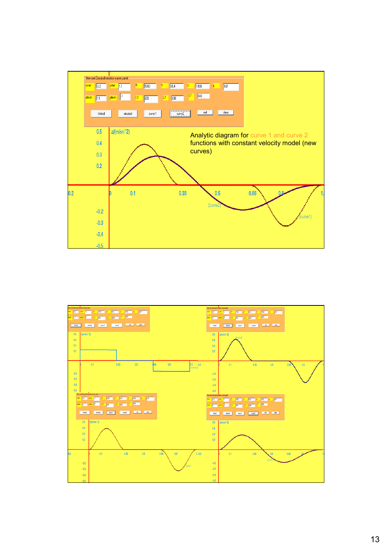

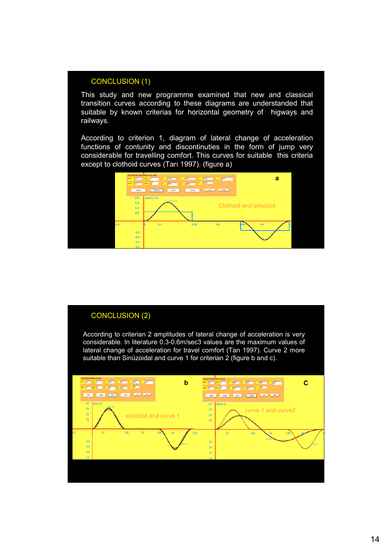#### CONCLUSION (1)

This study and new programme examined that new and classical transition curves according to these diagrams are understanded that suitable by known criterias for horizontal geometry of higways and railways.

According to criterion 1, diagram of lateral change of acceleration functions of contunity and discontinuties in the form of jump very considerable for travelling comfort. This curves for suitable this criteria except to clothoid curves (Tarı 1997). (figure a)



#### CONCLUSION (2)

According to criterian 2 amplitudes of lateral change of acceleration is very considerable. In literature 0.3-0.6m/sec3 values are the maximum values of lateral change of acceleration for travel comfort (Tarı 1997). Curve 2 more suitable than Sinüzoidal and curve 1 for criterian 2 (figure b and c).

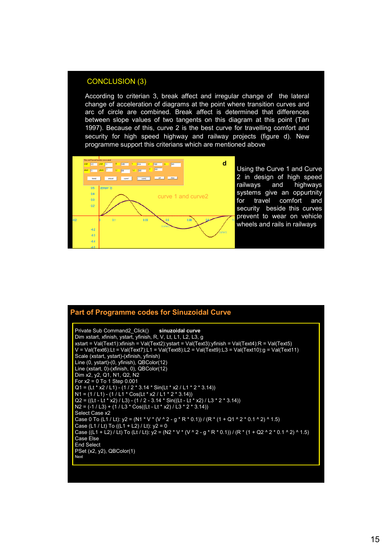#### CONCLUSION (3)

According to criterian 3, break affect and irregular change of the lateral change of acceleration of diagrams at the point where transition curves and arc of circle are combined. Break affect is determined that differences between slope values of two tangents on this diagram at this point (Tarı 1997). Because of this, curve 2 is the best curve for travelling comfort and security for high speed highway and railway projects (figure d). New programme support this criterians which are mentioned above



Using the Curve 1 and Curve 2 in design of high speed railways and highways systems give an oppurtnity for travel comfort and security beside this curves prevent to wear on vehicle wheels and rails in railways

#### Private Sub Command2\_Click() **sinuzoidal curve** Dim xstart, xfinish, ystart, yfinish, R, V, Lt, L1, L2, L3, g xstart = Val(Text1):xfinish = Val(Text2):ystart = Val(Text3):yfinish = Val(Text4):R = Val(Text5) V = Val(Text6):Lt = Val(Text7):L1 = Val(Text8):L2 = Val(Text9):L3 = Val(Text10):g = Val(Text11) Scale (xstart, ystart)-(xfinish, yfinish) Line (0, ystart)-(0, yfinish), QBColor(12) Line (xstart, 0)-(xfinish, 0), QBColor(12) Dim x2, y2, Q1, N1, Q2, N2 For x2 = 0 To 1 Step 0.001 Q1 = (Lt \* x2 / L1) - (1 / 2 \* 3.14 \* Sin(Lt \* x2 / L1 \* 2 \* 3.14)) N1 = (1 / L1) - (1 / L1 \* Cos(Lt \* x2 / L1 \* 2 \* 3.14)) Q2 = ((Lt - Lt \* x2) / L3) - (1 / 2 - 3.14 \* Sin((Lt - Lt \* x2) / L3 \* 2 \* 3.14)) N2 = (-1 / L3) + (1 / L3 \* Cos((Lt - Lt \* x2) / L3 \* 2 \* 3.14)) Select Case x2 Case 0 To (L1 / Lt): y2 = (N1 \* V \* (V ^ 2 - g \* R \* 0.1)) / (R \* (1 + Q1 ^ 2 \* 0.1 ^ 2) ^ 1.5) Case (L1 / Lt) To  $((L1 + L2) / Lt)$ : y2 = 0 Case ((L1 + L2) / Lt) To (Lt / Lt): y2 = (N2 \* V \* (V ^ 2 - g \* R \* 0.1)) / (R \* (1 + Q2 ^ 2 \* 0.1 ^ 2) ^ 1.5) Case Else End Select PSet (x2, y2), QBColor(1) Next **Part of Programme codes for Sinuzoidal Curve**